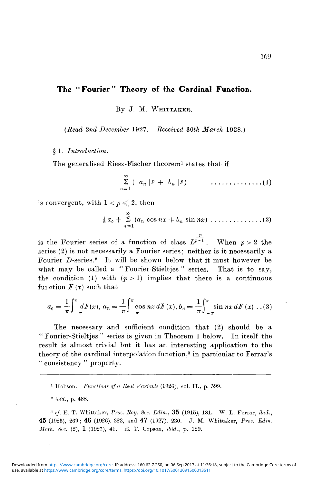## **The "Fourier" Theory of the Cardinal Function.**

By J. M. WHITTAKER.

*{Read 2nd December* 1927. *Received 30th March* 1928.)

§ 1. *Introduction.*

The generalised Riesz-Fischer theorem<sup>1</sup> states that if

$$
\sum_{n=1}^{\infty} (\mid a_n \mid p \mid + \mid b_n \mid p) \qquad \qquad \ldots \ldots \ldots \ldots \ldots (1)
$$

is convergent, with  $1 < p \leqslant 2$ , then

00 *\ao-\-* S («" cos *nx* + *bn* sin *nx)* (2)

is the Fourier series of a function of class  $L^{\frac{p}{p-1}}$ . When  $p > 2$  the series (2) is not necessarily a Fourier series; neither is it necessarily a Fourier  $D$ -series.<sup>2</sup> It will be shown below that it must however be what may be called a "Fourier Stieltjes" series. That is to say, the condition (1) with  $(p > 1)$  implies that there is a continuous function  $F(x)$  such that

$$
a_0 = \frac{1}{\pi} \int_{-\pi}^{\pi} dF(x), \ a_n = \frac{1}{\pi} \int_{-\pi}^{\pi} \cos nx \, dF(x), \ b_n = \frac{1}{\pi} \int_{-\pi}^{\pi} \sin nx \, dF(x) \ \ldots (3)
$$

The necessary and sufficient condition that (2) should be a " Fourier-Stieltjes " series is given in Theorem 1 below. In itself the result is almost trivial but it has an interesting application to the theory of the cardinal interpolation function,<sup>3</sup> in particular to Ferrar's " consistency " property.

1 Hobson. *Functions of a Real Variable* (1926), vol. II., p. 599.

2  *ibid.,* p. 488.

3  *ef.* E. T. Whittaker, *Froc. Roy. Soc. Edin.,* 35 (1915), 181. W. L. Ferrar, *ibid.,* 45 (1925), 269 ; 46 (1926). 323, and 47 (1927), 230. J. M. Whittaker, *Proc. Edin. Math. Soc.* (2), 1 (1927), 41. E. T. Copson, *ibid.,* p. 129.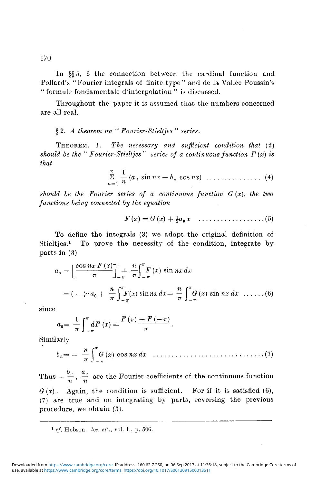In §§ 5, 6 the connection between the cardinal function and Pollard's "Fourier integrals of finite type" and de la Vallee Poussin's " formule fondamentale d'interpolation " is discussed.

Throughout the paper it is assumed that the numbers concerned are all real.

## § 2. *A theorem on "Fourier-Stieltjes" series.*

THEOREM. 1. *The necessary and sufficient condition that* (2) *should be the "Fourier-Stieltjes" series of a continuous function F (x) is that*

$$
\sum_{n=1}^{\infty} \frac{1}{n} (a_n \sin nx - b_n \cos nx) \dots \dots \dots \dots \dots (4)
$$

*should be the Fourier series of a continuous function G (x), the two functions being connected by the equation*

$$
F(x) = G(x) + \frac{1}{2}a_0 x \quad \ldots \ldots \ldots \ldots \ldots \ldots (5)
$$

To define the integrals (3) we adopt the original definition of Stielties.<sup>1</sup> To prove the necessity of the condition, integrate by parts in (3)

$$
a_n = \left[\frac{\cos nx F(x)}{\pi}\right]_{-\pi}^{\pi} + \frac{n}{\pi} \int_{-\pi}^{\pi} F(x) \sin nx \, dx
$$
  
=  $(-)^n a_0 + \frac{n}{\pi} \int_{-\pi}^{\pi} F(x) \sin nx \, dx = \frac{n}{\pi} \int_{-\pi}^{\pi} G(x) \sin nx \, dx \dots$  (6)

since

$$
a_0 = \frac{1}{\pi} \int_{-\pi}^{\pi} dF(x) = \frac{F(\pi) - F(-\pi)}{\pi}.
$$

Similarly

*71* **f71\*** *bn—* — — *G (x)* cos *nx dx* (7)

Thus  $-\frac{\sigma_n}{n}$ ,  $\frac{u_n}{n}$  are the Fourier coefficients of the continuous function *n n*  $G(x)$ . Again, the condition is sufficient. For if it is satisfied (6), (7) are true and on integrating by parts, reversing the previous procedure, we obtain (3).

<sup>1</sup> cf. Hobson. *loc. cit.*, vol. I., p. 506.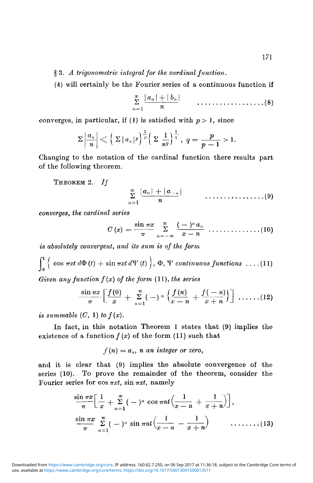§ 3. *A trigonometric integral for the cardinal function.*

(4) will certainly be the Fourier series of a continuous function if

$$
\sum_{n=1}^{\infty} \frac{|a_n|+|b_n|}{n} \qquad \qquad \ldots \ldots \ldots \ldots \ldots \ldots \ldots (8)
$$

converges, in particular, if (1) is satisfied with  $p > 1$ , since

$$
\Sigma \left|\frac{a_n}{n}\right| \leqslant \left\{ \left|\Sigma |a_n|^p \right|^{\frac{1}{p}} \left( \Sigma \frac{1}{n^q} \right)^{\frac{1}{q}}, \ q = \frac{p}{p-1} > 1.
$$

Changing to the notation of the cardinal function there results part of the following theorem.

THEOREM 2.  $If$ 

*n*

*converges, the cardinal series*

$$
C(x) = \frac{\sin \pi x}{\pi} \sum_{n=-\infty}^{\infty} \frac{(-)^n a_n}{x-n} \cdots \cdots \cdots \cdots (10)
$$

*is absolutely convergent, and its sum is of the form*

 $\int_0^{\pi} \left\{ \cos \pi x t \, d\Phi(t) + \sin \pi x t \, d\Psi(t) \right\}, \Phi, \Psi \text{ continuous functions } \dots (11)$ *Given any function f (x) of the form* (11), *the series*

$$
\frac{\sin \pi x}{\pi}\left[\frac{f(0)}{x}+\sum_{n=1}^{\infty}(-)^n\left\{\frac{f(n)}{x-n}+\frac{f(-n)}{x+n}\right\}\right]\ldots \ldots (12)
$$

is summable  $(C, 1)$  to  $f(x)$ .

In fact, in this notation Theorem 1 states that (9) implies the existence of a function  $f(x)$  of the form (11) such that

 $f(n) = a_n$ , *n* an integer or zero,

and it is clear that (9) implies the absolute convergence of the series (10). To prove the remainder of the theorem, consider the Fourier series for  $\cos \pi x t$ ,  $\sin \pi x t$ , namely

$$
\frac{\sin \pi x}{\pi} \left[ \frac{1}{x} + \sum_{n=1}^{\infty} (-)^n \cos \pi nt \left( \frac{1}{x-n} + \frac{1}{x+n} \right) \right],
$$
  
\n
$$
\frac{\sin \pi x}{\pi} \sum_{n=1}^{\infty} (-)^n \sin \pi nt \left( \frac{1}{x-n} - \frac{1}{x+n} \right) \qquad \qquad (13)
$$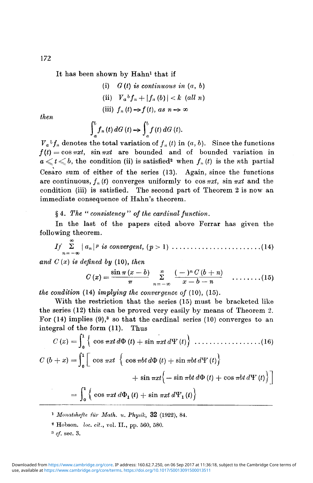It has been shown by Hahn<sup>1</sup> that if

(i) 
$$
G(t)
$$
 is continuous in  $(a, b)$ 

$$
(ii) \tV_a b f_n + |f_n (b)| < k \t(all n)
$$

(iii)  $f_n(t) \rightarrow f(t)$ , as  $n \rightarrow \infty$ 

*then*

$$
\int_a^b f_n(t) \, dG(t) \to \int_a^b f(t) \, dG(t).
$$

 $V_a{}^b f_n$  denotes the total variation of  $f_n(t)$  in  $(a, b)$ . Since the functions  $f(t) = \cos \pi xt$ ,  $\sin \pi xt$  are bounded and of bounded variation in  $a \leqslant t \leqslant b,$  the condition (ii) is satisfied<sup>2</sup> when  $f_n$  (t) is the *n*th partial Cesaro sum of either of the series (13). Again, since the functions are continuous,  $f_n(t)$  converges uniformly to  $\cos \pi x t$ ,  $\sin \pi x t$  and the condition (iii) is satisfied. The second part of Theorem 2 is now an immediate consequence of Hahn's theorem.

§ 4. *The " consistency " of the cardinal function.*

In the last of the papers cited above Perrar has given the following theorem.

00 / / 2 | *an* | *P is convergent, (p >* 1) (14) *n~* **—oo**

*and C (x) is defined by* (10), *then*

$$
C(x) = \frac{\sin \pi (x - b)}{\pi} \sum_{n = -\infty}^{\infty} \frac{(-)^n C (b + n)}{x - b - n} \quad \ldots \ldots (15)
$$

*the condition* (14) *implying the convergence of* (10), (15).

With the restriction that the series (15) must be bracketed like the series (12) this can be proved very easily by means of Theorem 2. For  $(14)$  implies  $(9)$ ,<sup>3</sup> so that the cardinal series  $(10)$  converges to an integral of the form  $(11)$ . Thus

*\irxtd<i> (t) +sin nxtdW(t))* (16) *C(x)* **=| {** cos *C (b + x)* = 1*<sup>1</sup>* 1^ cos *irxt* { cos *irbt* rfO *(t)* + sin *nbt d"¥ (t)]* + sin *nxt\ —* sin *irbt d\$> (t)* + cos *nbt dY (t)* j = I {cos *iTxt d<S>1 {t)* + sin *nxt* d ^ *(t)j*

]  *Monatshefte fur Math. u. Physik,* 32 (1922), 84.

s Hobson. *loc. cit.,* vol. II., pp. 560, 580.

3  *cf.* sec. 3.

172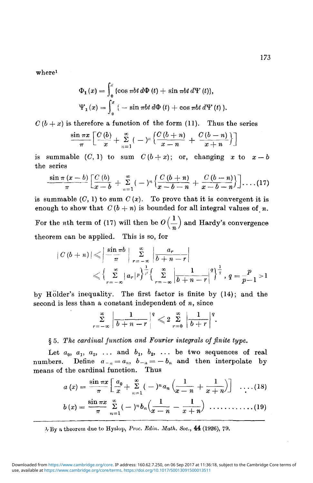where<sup>1</sup>

$$
\Phi_1(x) = \int_0^x \{ \cos \pi bt \, d\Phi(t) + \sin \pi bt \, d\Psi(t) \},
$$
  

$$
\Psi_1(x) = \int_0^x \{ -\sin \pi bt \, d\Phi(t) + \cos \pi bt \, d\Psi(t) \}.
$$

 $C (b + x)$  is therefore a function of the form (11). Thus the series

$$
\frac{\sin \pi x}{\pi} \left[ \frac{C(b)}{x} + \sum_{n=1}^{\infty} (-)^n \left\{ \frac{C(b+n)}{x-n} + \frac{C(b-n)}{x+n} \right\} \right]
$$

is summable  $(C, 1)$  to sum  $C(b+x)$ ; or, changing x to  $x-b$ the series

$$
\frac{\sin \pi (x-b)}{\pi} \left[ \frac{C(b)}{x-b} + \sum_{n=1}^{\infty} (-)^n \left\{ \frac{C(b+n)}{x-b-n} + \frac{C(b-n)}{x-b-n} \right\} \right] \ldots (17)
$$

is summable  $(C, 1)$  to sum  $C(x)$ . To prove that it is convergent it is enough to show that  $C(b + n)$  is bounded for all integral values of *n*. For the *n*th term of (17) will then be  $O\left(\frac{1}{n}\right)$  and Hardy's convergence theorem can be applied. This is so, for

$$
|C(b+n)| \leqslant \left|\frac{\sin \pi b}{\pi}\right| \sum_{r=-\infty}^{\infty} \left|\frac{a_r}{b+n-r}\right|
$$
  
 
$$
\leqslant \left\{\sum_{r=-\infty}^{\infty} |a_r|^p \right\}^{\frac{1}{p}} \left\{\sum_{r=-\infty}^{\infty} \left|\frac{1}{b+n-r}\right|^q \right\}^{\frac{1}{q}}, q=\frac{p}{p-1} > 1
$$

by Holder's inequality. The first factor is finite by (14); and the second is less than a constant independent of *n,* since

$$
\sum_{r=-\infty}^{\infty}\bigg|\frac{1}{b+n-r}\bigg|^q\leqslant 2\sum_{r=0}^{\infty}\bigg|\frac{1}{b+r}\bigg|^q.
$$

## § 5. T/ie *cardinal function and Fourier integrals of finite type.*

Let  $a_0$ ,  $a_1$ ,  $a_2$ , ... and  $b_1$ ,  $b_2$ , ... be two sequences of real numbers. Define  $a_{-n} = a_n$ ,  $b_{-n} = -b_n$  and then interpolate by means of the cardinal function. Thus

$$
a(x) = \frac{\sin \pi x}{\pi} \left[ \frac{a_0}{x} + \sum_{n=1}^{\infty} (-)^n a_n \left( \frac{1}{x-n} + \frac{1}{x+n} \right) \right] \quad \ldots (18)
$$

$$
b(x)=\frac{\sin \pi x}{\pi}\sum_{n=1}^{\infty}(-1)^n b_n\left(\frac{1}{x-n}-\frac{1}{x+n}\right)\ \ldots \ldots \ldots \ldots (19)
$$

VBy a theorem due to Hyslop, *Proc. Edin. Math. Soc,* 44 (1926), 79.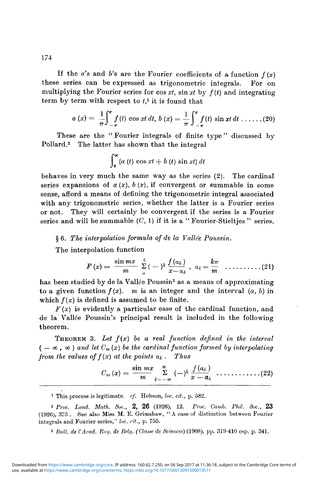If the *a*'s and *b*'s are the Fourier coefficients of a function  $f(x)$ these series can be expressed as trigonometric integrals. For on multiplying the Fourier series for  $\cos xt$ ,  $\sin xt$  by  $f(t)$  and integrating term by term with respect to *t,1* it is found that

$$
a(x) = \frac{1}{\pi} \int_{-\pi}^{\pi} f(t) \cos xt \, dt, \, b(x) = \frac{1}{\pi} \int_{-\pi}^{\pi} f(t) \sin xt \, dt \, \ldots \ldots (20)
$$

These are the "Fourier integrals of finite type" discussed by Pollard.<sup>2</sup> The latter has shown that the integral

$$
\int_0^\infty \{a(t) \cos xt + b(t) \sin xt\} dt
$$

**Jo** behaves in very much the same way as the series (2). The cardinal series expansions of  $a(x)$ ,  $b(x)$ , if convergent or summable in some sense, afford a means of defining the trigonometric integral associated with any trigonometric series, whether the latter is a Fourier series or not. They will certainly be convergent if the series is a Fourier series and will be summable  $(C, 1)$  if it is a "Fourier-Stieltjes" series.

§ 6. *The interpolation formula of de la Vallee Poussin.*

The interpolation function

$$
F(x) = \frac{\sin mx}{m} \sum_{a}^{b} (-1)^{k} \frac{f(a_{k})}{x-a_{k}}, \ \ a_{k} = \frac{k\pi}{m} \quad \ldots \ldots \ldots \ldots (21)
$$

has been studied by de la Vallée Poussin<sup>3</sup> as a means of approximating to a given function  $f(x)$ . *m* is an integer and the interval  $(a, b)$  in which  $f(x)$  is defined is assumed to be finite.

 $F(x)$  is evidently a particular case of the cardinal function, and de la Vallee Poussin's principal result is included in the following theorem.

**THEOREM** 3. Let  $f(x)$  be a real function defined in the interval  $(-\infty, \infty)$  and let  $C_m(x)$  be the cardinal function formed by interpolating *from the values of*  $f(x)$  *at the points*  $a_k$ . *Thus* 

$$
C_m(x) = \frac{\sin mx}{m} \sum_{k=-\infty}^{\infty} (-)^k \frac{f(a_k)}{x-a_k} \cdots \cdots \cdots (22)
$$

1 This process is legitimate, *cf.* Hobson, *loc. cit.,* p. 582.

3  *Bull, de VAcad. Roy. de Belg. (Clause de Sciences)* (1908), pp. 319-410 esp. p. 341.

174

<sup>2</sup>  *Proc. Land. Math. Soc.,* 2, 26 (1926), 12. *Pruc. Camb. Phil. Soc.,* 23 (1926), 373 . See also Miss M. E. Grimshaw, "A case of distinction between Fourier integrals and Fourier series," *loc. cit.,* p. 755.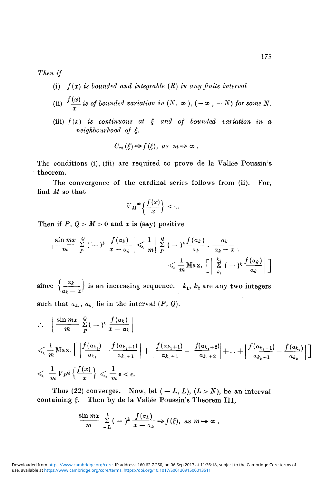*Then if*

- (i) *f(x) is bounded and integrable (R) in any finite interval*
- (ii)  $\frac{f(x)}{g}$  is of bounded variation in  $(N, \infty)$ ,  $(-\infty, -N)$  for some N.
- (iii)  $f(x)$  is continuous at  $\xi$  and of bounded variation in a *neighbourhood of £.*

$$
C_m(\xi) \rightarrow f(\xi), \ \text{as} \ \ m \rightarrow \infty \ .
$$

The conditions (i), (iii) are required to prove de la Vallée Poussin's theorem.

The convergence of the cardinal series follows from (ii). For, find *M* so that

$$
V_M^{\infty}\left\{\frac{f(x)}{x}\right\} < \epsilon.
$$

Then if  $P$ ,  $Q > M > 0$  and x is (say) positive

$$
\left|\frac{\sin mx}{m}\sum_{P}^{Q}(-)^{k}\frac{f(a_{k})}{x-a_{k}}\right|\leqslant\frac{1}{m}\left|\sum_{P}^{Q}(-)^{k}\frac{f(a_{k})}{a_{k}}\cdot\frac{a_{k}}{a_{k}-x}\right|
$$

$$
\leqslant\frac{1}{m}\text{Max.}\left[\left|\sum_{k_{1}}^{k_{2}}(-)^{k}\frac{f(a_{k})}{a_{k}}\right|\right]
$$

since  $\left\{\frac{a_k}{a_k-x}\right\}$  is an increasing sequence.  $k_1$ ,  $k_2$  are any two integers such that  $a_{k_1}, a_{k_2}$  lie in the interval  $(P, Q)$ .

$$
\therefore \left| \frac{\sin mx}{m} \sum_{P}^{Q} (-\frac{1}{n} \frac{f(a_k)}{x - a_k} \right|
$$
\n
$$
\leqslant \frac{1}{m} \operatorname{Max.} \left[ \left| \frac{f(a_{k_1})}{a_{k_1}} - \frac{f(a_{k_1+1})}{a_{k_1+1}} \right| + \left| \frac{f(a_{k_1+1})}{a_{k_1+1}} - \frac{f(a_{k_1+2})}{a_{k_1+2}} \right| + \dots + \left| \frac{f(a_{k_2-1})}{a_{k_2-1}} - \frac{f(a_{k_2})}{a_{k_2}} \right| \right]
$$
\n
$$
\leqslant \frac{1}{m} V_P^Q \left\{ \frac{f(x)}{x} \right\} \leqslant \frac{1}{m} \epsilon < \epsilon.
$$

Thus (22) converges. Now, let  $(-L, L)$ ,  $(L > N)$ , be an interval containing  $\xi$ . Then by de la Vallée Poussin's Theorem III,

$$
\frac{\sin mx}{m} \sum_{-L}^{L} (-1)^k \frac{f(a_k)}{x-a_k} \rightarrow f(\xi), \text{ as } m \rightarrow \infty.
$$